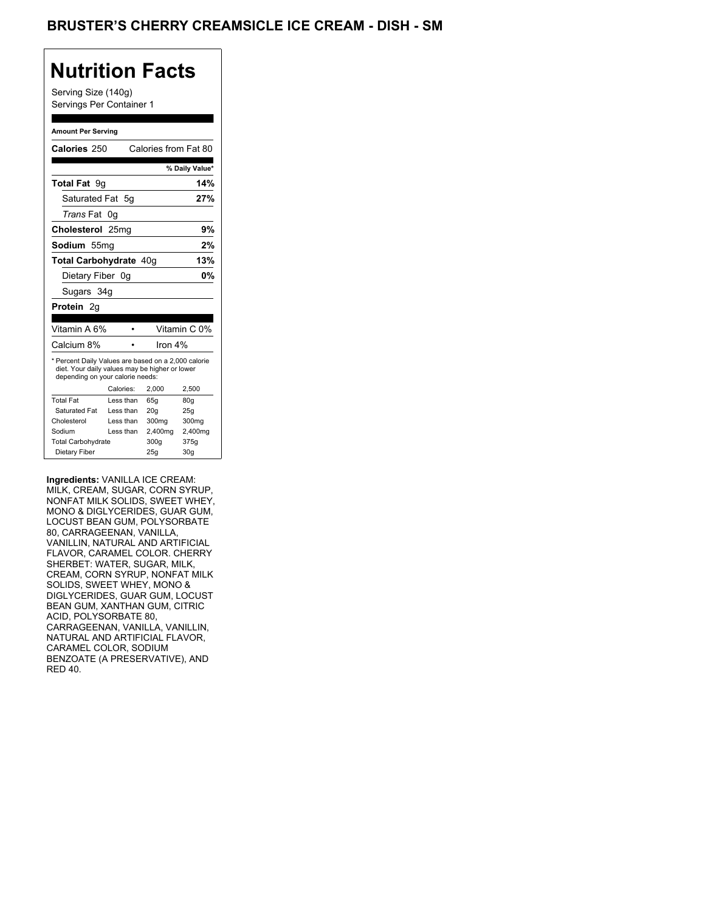## **Nutrition Facts**

#### **Amount Per Serving**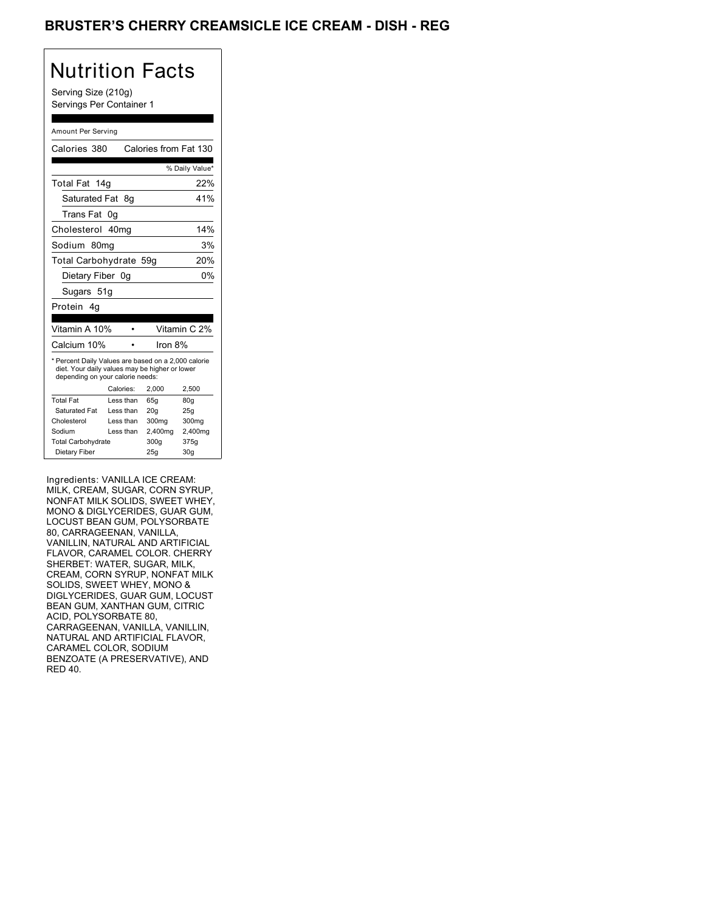## Brusters Cherry Cordial Ice Cream, Dish Regular +1 Creamsicle Ice Cream, Dish Regular +1

# Nutrition Facts

#### Amount Per Serving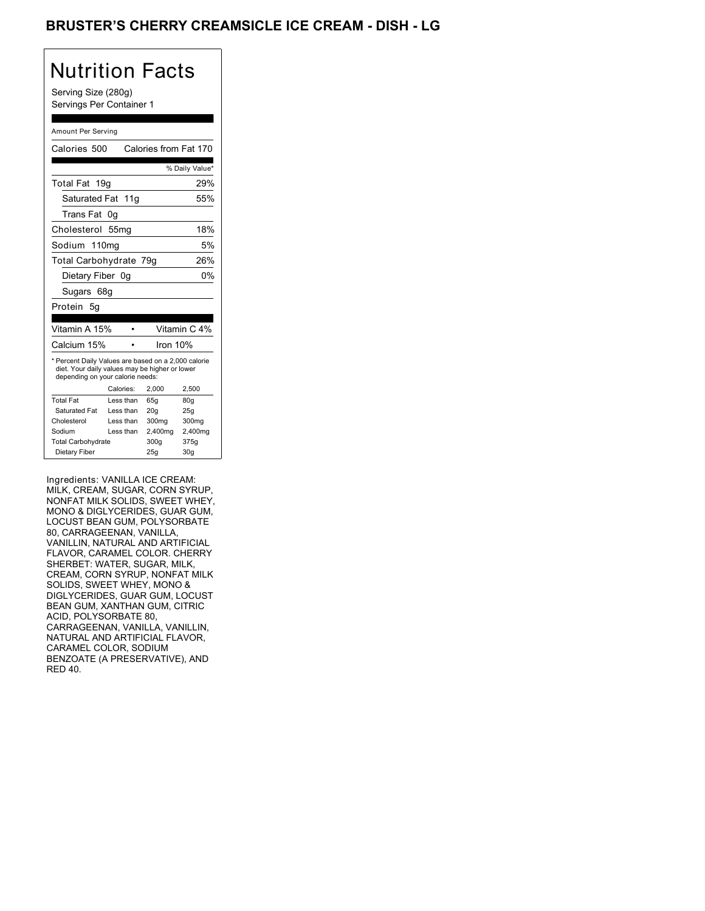## Brusters Cherry Cordial Ice Cream, Dish Regular +2 Creamsicle Ice Cream, Dish Regular +2

## Nutrition Facts

#### Amount Per Serving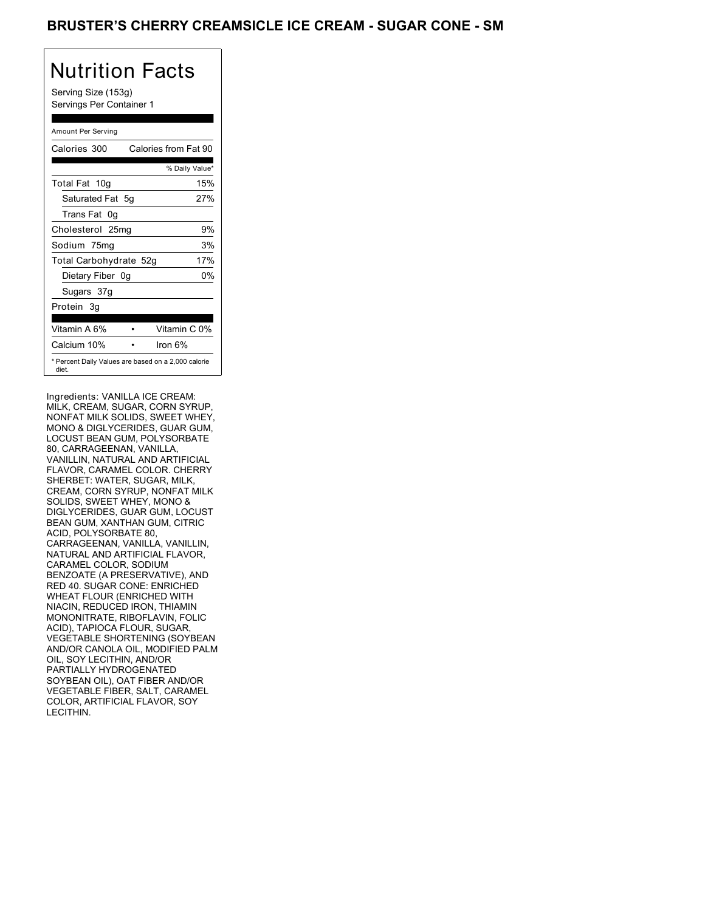## BRUSTER'S CHERRY CREAMSICLE ICE CREAM - SUGAR CONE - SM

# Nutrition Facts

Serving Size (153g) Servings Per Container 1

#### Amount Per Serving

| Calories 300           | Calories from Fat 90                                |
|------------------------|-----------------------------------------------------|
|                        | % Daily Value*                                      |
| Total Fat 10g          | 15%                                                 |
| Saturated Fat 5q       | 27%                                                 |
| Trans Fat 0q           |                                                     |
| Cholesterol 25mg       | 9%                                                  |
| Sodium 75mg            | 3%                                                  |
| Total Carbohydrate 52g | 17%                                                 |
| Dietary Fiber 0g       | 0%                                                  |
| Sugars 37g             |                                                     |
| Protein 3q             |                                                     |
|                        |                                                     |
| Vitamin A 6%           | Vitamin C 0%                                        |
| Calcium 10%            | lron 6%                                             |
| diet.                  | * Percent Daily Values are based on a 2,000 calorie |

Ingredients: VANILLA ICE CREAM: MILK, CREAM, SUGAR, CORN SYRUP, NONFAT MILK SOLIDS, SWEET WHEY, MONO & DIGLYCERIDES, GUAR GUM, LOCUST BEAN GUM, POLYSORBATE 80, CARRAGEENAN, VANILLA, VANILLIN, NATURAL AND ARTIFICIAL FLAVOR, CARAMEL COLOR. CHERRY SHERBET: WATER, SUGAR, MILK, CREAM, CORN SYRUP, NONFAT MILK SOLIDS, SWEET WHEY, MONO & DIGLYCERIDES, GUAR GUM, LOCUST BEAN GUM, XANTHAN GUM, CITRIC ACID, POLYSORBATE 80, CARRAGEENAN, VANILLA, VANILLIN, NATURAL AND ARTIFICIAL FLAVOR, CARAMEL COLOR, SODIUM BENZOATE (A PRESERVATIVE), AND RED 40. SUGAR CONE: ENRICHED WHEAT FLOUR (ENRICHED WITH NIACIN, REDUCED IRON, THIAMIN MONONITRATE, RIBOFLAVIN, FOLIC ACID), TAPIOCA FLOUR, SUGAR, VEGETABLE SHORTENING (SOYBEAN AND/OR CANOLA OIL, MODIFIED PALM OIL, SOY LECITHIN, AND/OR PARTIALLY HYDROGENATED SOYBEAN OIL), OAT FIBER AND/OR VEGETABLE FIBER, SALT, CARAMEL COLOR, ARTIFICIAL FLAVOR, SOY LECITHIN. ACID), TAPIOCA FLOUR, SUGAR,<br>VEGETABLE SHORTENING (SOYBEAN<br>AND/OR CANOLA OIL, MODIFIED PALM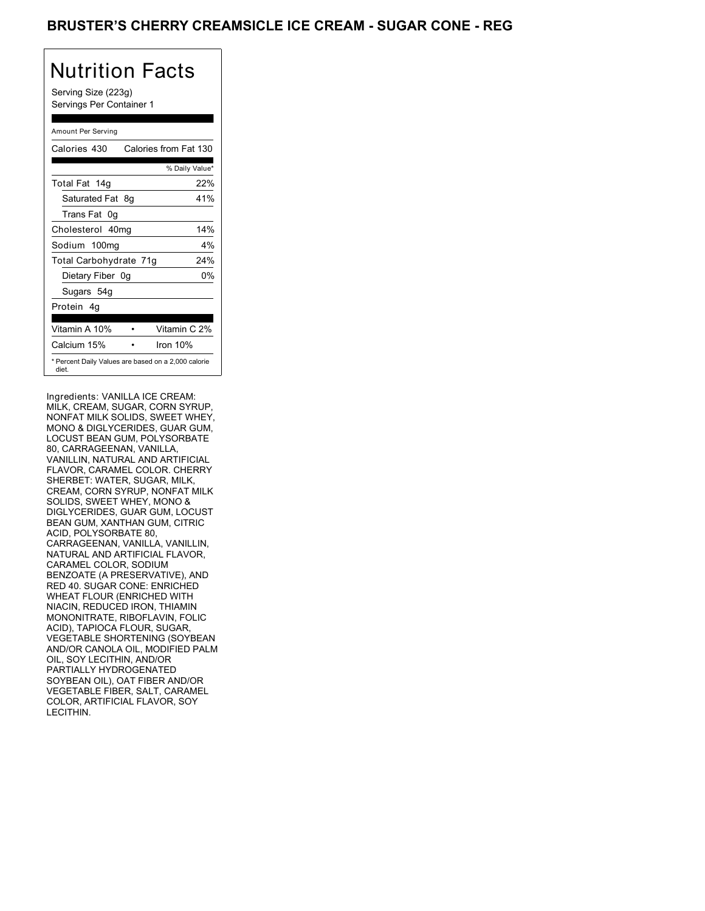## BRUSTER'S CHERRY CREAMSICLE ICE CREAM - SUGAR CONE - REG

# Nutrition Facts

Serving Size (223g) Servings Per Container 1

#### Amount Per Serving

| Calories 430                                                 | Calories from Fat 130 |
|--------------------------------------------------------------|-----------------------|
|                                                              | % Daily Value*        |
| Total Fat 14g                                                | 22%                   |
| Saturated Fat 8g                                             | 41%                   |
| Trans Fat<br>0 <sub>q</sub>                                  |                       |
| Cholesterol 40mg                                             | 14%                   |
| Sodium 100mg                                                 | $4\%$                 |
| Total Carbohydrate 71g                                       | 24%                   |
| Dietary Fiber 0g                                             | 0%                    |
| Sugars 54g                                                   |                       |
| Protein 4q                                                   |                       |
| Vitamin A 10%                                                | Vitamin C 2%          |
| Calcium 15%                                                  | Iron 10%              |
| * Percent Daily Values are based on a 2,000 calorie<br>diet. |                       |

Ingredients: VANILLA ICE CREAM: MILK, CREAM, SUGAR, CORN SYRUP, NONFAT MILK SOLIDS, SWEET WHEY, MONO & DIGLYCERIDES, GUAR GUM, LOCUST BEAN GUM, POLYSORBATE 80, CARRAGEENAN, VANILLA, VANILLIN, NATURAL AND ARTIFICIAL FLAVOR, CARAMEL COLOR. CHERRY SHERBET: WATER, SUGAR, MILK, CREAM, CORN SYRUP, NONFAT MILK SOLIDS, SWEET WHEY, MONO & DIGLYCERIDES, GUAR GUM, LOCUST BEAN GUM, XANTHAN GUM, CITRIC ACID, POLYSORBATE 80, CARRAGEENAN, VANILLA, VANILLIN, NATURAL AND ARTIFICIAL FLAVOR, CARAMEL COLOR, SODIUM BENZOATE (A PRESERVATIVE), AND RED 40. SUGAR CONE: ENRICHED WHEAT FLOUR (ENRICHED WITH NIACIN, REDUCED IRON, THIAMIN MONONITRATE, RIBOFLAVIN, FOLIC ACID), TAPIOCA FLOUR, SUGAR, VEGETABLE SHORTENING (SOYBEAN AND/OR CANOLA OIL, MODIFIED PALM OIL, SOY LECITHIN, AND/OR PARTIALLY HYDROGENATED SOYBEAN OIL), OAT FIBER AND/OR VEGETABLE FIBER, SALT, CARAMEL COLOR, ARTIFICIAL FLAVOR, SOY LECITHIN. ACID), TAPIOCA FLOUR, SUGAR,<br>VEGETABLE SHORTENING (SOYBEAN<br>AND/OR CANOLA OIL, MODIFIED PALM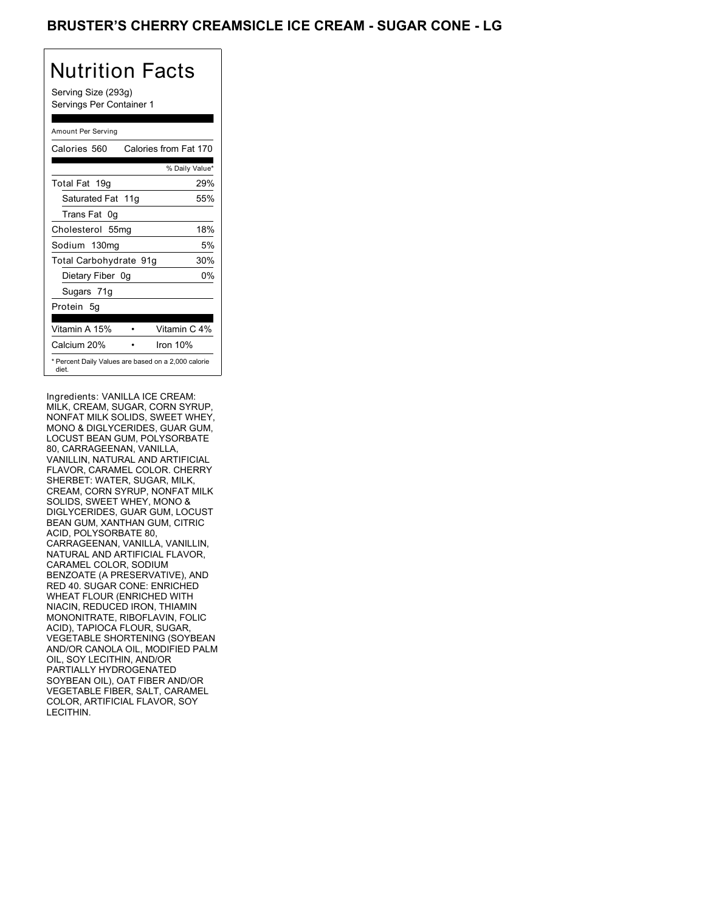## BRUSTER'S CHERRY CREAMSICLE ICE CREAM - SUGAR CONE - LG

# Nutrition Facts

Serving Size (293g) Servings Per Container 1

#### Amount Per Serving

| Calories 560                                                 | Calories from Fat 170 |
|--------------------------------------------------------------|-----------------------|
|                                                              | % Daily Value*        |
| Total Fat 19g                                                | 29%                   |
| Saturated Fat 11g                                            | 55%                   |
| Trans Fat<br>0g                                              |                       |
| Cholesterol 55mg                                             | 18%                   |
| Sodium 130mg                                                 | 5%                    |
| Total Carbohydrate 91g                                       | 30%                   |
| Dietary Fiber 0g                                             | 0%                    |
| Sugars 71g                                                   |                       |
| Protein 5q                                                   |                       |
| Vitamin A 15%                                                | Vitamin C 4%          |
| Calcium 20%                                                  | Iron 10%              |
| * Percent Daily Values are based on a 2,000 calorie<br>diet. |                       |

Ingredients: VANILLA ICE CREAM: MILK, CREAM, SUGAR, CORN SYRUP, NONFAT MILK SOLIDS, SWEET WHEY, MONO & DIGLYCERIDES, GUAR GUM, LOCUST BEAN GUM, POLYSORBATE 80, CARRAGEENAN, VANILLA, VANILLIN, NATURAL AND ARTIFICIAL FLAVOR, CARAMEL COLOR. CHERRY SHERBET: WATER, SUGAR, MILK, CREAM, CORN SYRUP, NONFAT MILK SOLIDS, SWEET WHEY, MONO & DIGLYCERIDES, GUAR GUM, LOCUST BEAN GUM, XANTHAN GUM, CITRIC ACID, POLYSORBATE 80, CARRAGEENAN, VANILLA, VANILLIN, NATURAL AND ARTIFICIAL FLAVOR, CARAMEL COLOR, SODIUM BENZOATE (A PRESERVATIVE), AND RED 40. SUGAR CONE: ENRICHED WHEAT FLOUR (ENRICHED WITH NIACIN, REDUCED IRON, THIAMIN MONONITRATE, RIBOFLAVIN, FOLIC ACID), TAPIOCA FLOUR, SUGAR, VEGETABLE SHORTENING (SOYBEAN AND/OR CANOLA OIL, MODIFIED PALM OIL, SOY LECITHIN, AND/OR PARTIALLY HYDROGENATED SOYBEAN OIL), OAT FIBER AND/OR VEGETABLE FIBER, SALT, CARAMEL COLOR, ARTIFICIAL FLAVOR, SOY LECITHIN. ACID), TAPIOCA FLOUR, SUGAR,<br>VEGETABLE SHORTENING (SOYBEAN<br>AND/OR CANOLA OIL, MODIFIED PALM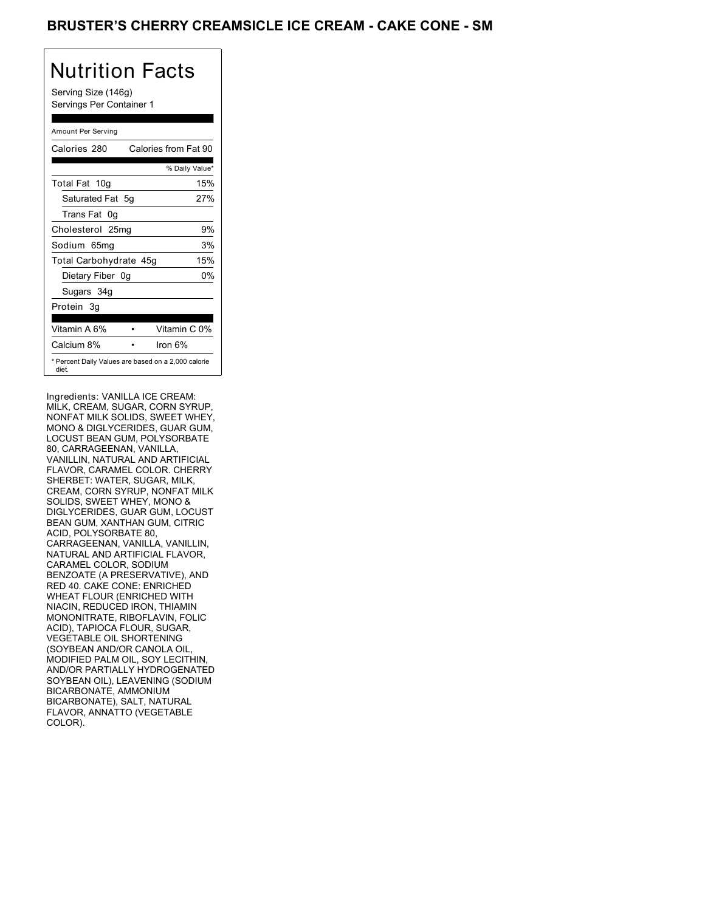## BRUSTER'S CHERRY CREAMSICLE ICE CREAM - CAKE CONE - SM

## Nutrition Facts

Serving Size (146g) Servings Per Container 1

#### Amount Per Serving

| Calories 280                                                 | Calories from Fat 90 |
|--------------------------------------------------------------|----------------------|
|                                                              | % Daily Value*       |
| Total Fat 10g                                                | 15%                  |
| Saturated Fat 5q                                             | 27%                  |
| Trans Fat 0q                                                 |                      |
| Cholesterol 25mg                                             | 9%                   |
| Sodium 65mg                                                  | 3%                   |
| Total Carbohydrate 45g                                       | 15%                  |
| Dietary Fiber 0g                                             | 0%                   |
| Sugars 34g                                                   |                      |
| Protein 3q                                                   |                      |
|                                                              |                      |
| Vitamin A 6%                                                 | Vitamin C 0%         |
| Calcium 8%                                                   | lron 6%              |
| * Percent Daily Values are based on a 2,000 calorie<br>diet. |                      |

Ingredients: VANILLA ICE CREAM: MILK, CREAM, SUGAR, CORN SYRUP, NONFAT MILK SOLIDS, SWEET WHEY, MONO & DIGLYCERIDES, GUAR GUM, LOCUST BEAN GUM, POLYSORBATE 80, CARRAGEENAN, VANILLA, VANILLIN, NATURAL AND ARTIFICIAL FLAVOR, CARAMEL COLOR. CHERRY SHERBET: WATER, SUGAR, MILK, CREAM, CORN SYRUP, NONFAT MILK SOLIDS, SWEET WHEY, MONO & DIGLYCERIDES, GUAR GUM, LOCUST BEAN GUM, XANTHAN GUM, CITRIC ACID, POLYSORBATE 80, CARRAGEENAN, VANILLA, VANILLIN, NATURAL AND ARTIFICIAL FLAVOR, CARAMEL COLOR, SODIUM BENZOATE (A PRESERVATIVE), AND RED 40. CAKE CONE: ENRICHED WHEAT FLOUR (ENRICHED WITH NIACIN, REDUCED IRON, THIAMIN MONONITRATE, RIBOFLAVIN, FOLIC ACID), TAPIOCA FLOUR, SUGAR, ACID), TAPIOCA FLOUR, SUGAR,<br>VEGETABLE OIL SHORTENING (SOYBEAN AND/OR CANOLA OIL, MODIFIED PALM OIL, SOY LECITHIN, MODIFIED PALM OIL, SOY LECITHIN,<br>AND/OR PARTIALLY HYDROGENATED SOYBEAN OIL), LEAVENING (SODIUM BICARBONATE, AMMONIUM BICARBONATE), SALT, NATURAL FLAVOR, ANNATTO (VEGETABLE COLOR). The contract of the contract of the contract of the contract of the contract of the contract of the contract of the contract of the contract of the contract of the contract of the contract of the contract of the co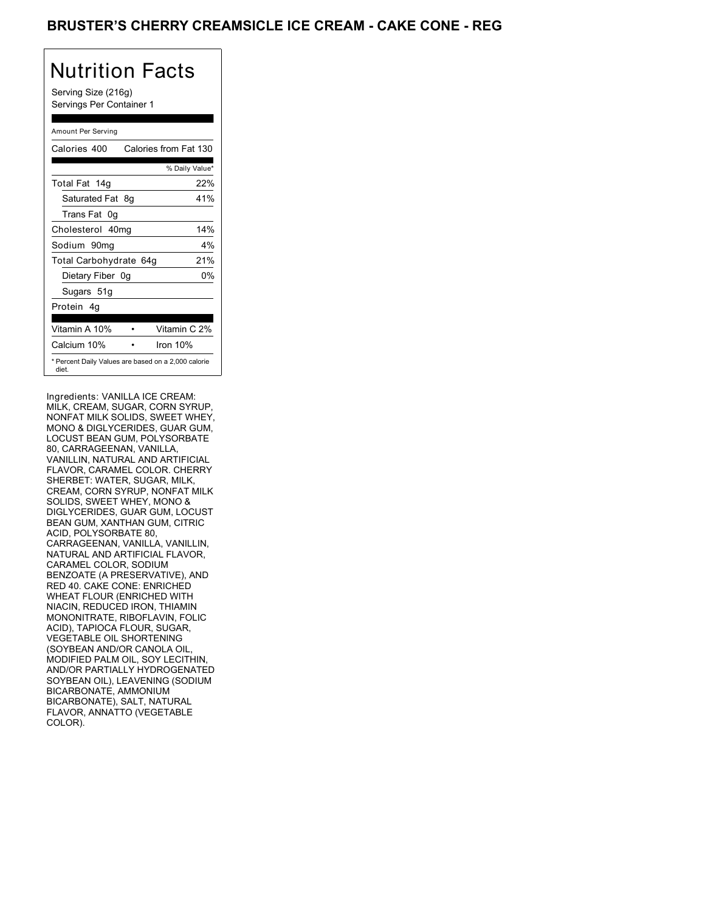## BRUSTER'S CHERRY CREAMSICLE ICE CREAM - CAKE CONE - REG

# Nutrition Facts

Serving Size (216g) Servings Per Container 1

#### Amount Per Serving

| Calories 400                                                 | Calories from Fat 130 |
|--------------------------------------------------------------|-----------------------|
|                                                              | % Daily Value*        |
| Total Fat 14g                                                | 22%                   |
| Saturated Fat 8g                                             | 41%                   |
| Trans Fat<br>0 <sub>q</sub>                                  |                       |
| Cholesterol 40mg                                             | 14%                   |
| Sodium 90mg                                                  | $4\%$                 |
| <b>Total Carbohydrate</b>                                    | 21%<br>64a            |
| Dietary Fiber 0g                                             | 0%                    |
| Sugars 51g                                                   |                       |
| Protein 4q                                                   |                       |
| Vitamin A 10%                                                | Vitamin C 2%          |
| Calcium 10%                                                  | Iron 10%              |
| * Percent Daily Values are based on a 2,000 calorie<br>diet. |                       |

Ingredients: VANILLA ICE CREAM: MILK, CREAM, SUGAR, CORN SYRUP, NONFAT MILK SOLIDS, SWEET WHEY, MONO & DIGLYCERIDES, GUAR GUM, LOCUST BEAN GUM, POLYSORBATE 80, CARRAGEENAN, VANILLA, VANILLIN, NATURAL AND ARTIFICIAL FLAVOR, CARAMEL COLOR. CHERRY SHERBET: WATER, SUGAR, MILK, CREAM, CORN SYRUP, NONFAT MILK SOLIDS, SWEET WHEY, MONO & DIGLYCERIDES, GUAR GUM, LOCUST BEAN GUM, XANTHAN GUM, CITRIC ACID, POLYSORBATE 80, CARRAGEENAN, VANILLA, VANILLIN, NATURAL AND ARTIFICIAL FLAVOR, CARAMEL COLOR, SODIUM BENZOATE (A PRESERVATIVE), AND RED 40. CAKE CONE: ENRICHED WHEAT FLOUR (ENRICHED WITH NIACIN, REDUCED IRON, THIAMIN MONONITRATE, RIBOFLAVIN, FOLIC ACID), TAPIOCA FLOUR, SUGAR, ACID), TAPIOCA FLOUR, SUGAR,<br>VEGETABLE OIL SHORTENING (SOYBEAN AND/OR CANOLA OIL, MODIFIED PALM OIL, SOY LECITHIN, MODIFIED PALM OIL, SOY LECITHIN,<br>AND/OR PARTIALLY HYDROGENATED SOYBEAN OIL), LEAVENING (SODIUM BICARBONATE, AMMONIUM BICARBONATE), SALT, NATURAL FLAVOR, ANNATTO (VEGETABLE COLOR). The contract of the contract of the contract of the contract of the contract of the contract of the contract of the contract of the contract of the contract of the contract of the contract of the contract of the co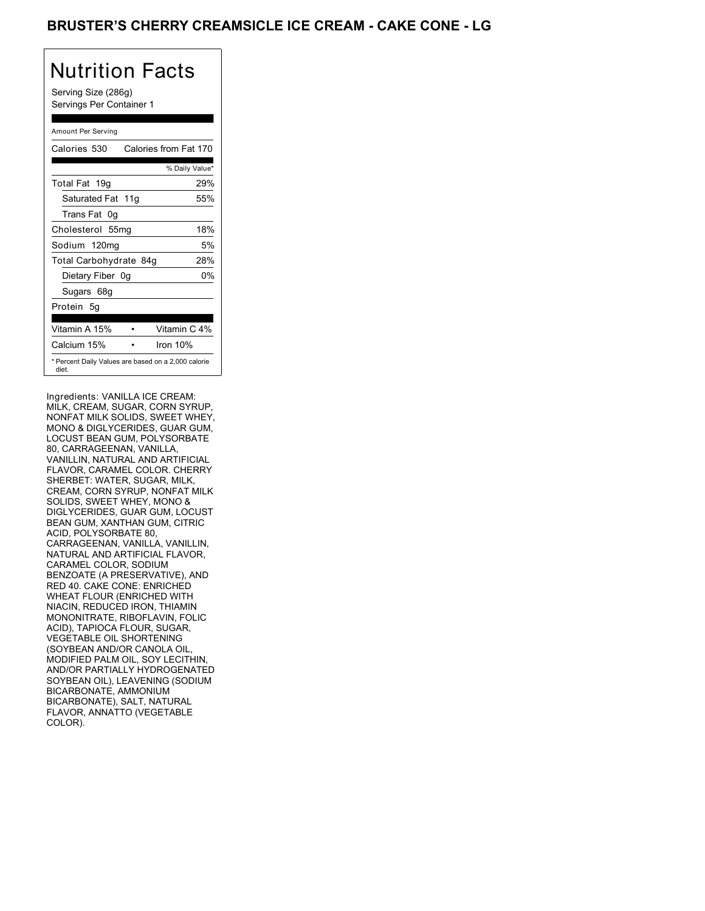## BRUSTER'S CHERRY CREAMSICLE ICE CREAM - CAKE CONE - LG

# Nutrition Facts

Serving Size (286g) Servings Per Container 1

#### Amount Per Serving

| Calories 530                                                 | Calories from Fat 170 |
|--------------------------------------------------------------|-----------------------|
|                                                              | % Daily Value*        |
| Total Fat 19g                                                | 29%                   |
| Saturated Fat 11g                                            | 55%                   |
| Trans Fat<br>0g                                              |                       |
| Cholesterol 55mg                                             | 18%                   |
| Sodium 120mg                                                 | 5%                    |
| Total Carbohydrate 84g                                       | 28%                   |
| Dietary Fiber 0g                                             | 0%                    |
| Sugars 68g                                                   |                       |
| Protein 5q                                                   |                       |
| Vitamin A 15%                                                | Vitamin C 4%          |
| Calcium 15%                                                  | Iron 10%              |
| * Percent Daily Values are based on a 2,000 calorie<br>diet. |                       |

Ingredients: VANILLA ICE CREAM: MILK, CREAM, SUGAR, CORN SYRUP, NONFAT MILK SOLIDS, SWEET WHEY, MONO & DIGLYCERIDES, GUAR GUM, LOCUST BEAN GUM, POLYSORBATE 80, CARRAGEENAN, VANILLA, VANILLIN, NATURAL AND ARTIFICIAL FLAVOR, CARAMEL COLOR. CHERRY SHERBET: WATER, SUGAR, MILK, CREAM, CORN SYRUP, NONFAT MILK SOLIDS, SWEET WHEY, MONO & DIGLYCERIDES, GUAR GUM, LOCUST BEAN GUM, XANTHAN GUM, CITRIC ACID, POLYSORBATE 80, CARRAGEENAN, VANILLA, VANILLIN, NATURAL AND ARTIFICIAL FLAVOR, CARAMEL COLOR, SODIUM BENZOATE (A PRESERVATIVE), AND RED 40. CAKE CONE: ENRICHED WHEAT FLOUR (ENRICHED WITH NIACIN, REDUCED IRON, THIAMIN MONONITRATE, RIBOFLAVIN, FOLIC ACID), TAPIOCA FLOUR, SUGAR, ACID), TAPIOCA FLOUR, SUGAR,<br>VEGETABLE OIL SHORTENING (SOYBEAN AND/OR CANOLA OIL, MODIFIED PALM OIL, SOY LECITHIN, MODIFIED PALM OIL, SOY LECITHIN,<br>AND/OR PARTIALLY HYDROGENATED SOYBEAN OIL), LEAVENING (SODIUM BICARBONATE, AMMONIUM BICARBONATE), SALT, NATURAL FLAVOR, ANNATTO (VEGETABLE COLOR). The contract of the contract of the contract of the contract of the contract of the contract of the contract of the contract of the contract of the contract of the contract of the contract of the contract of the co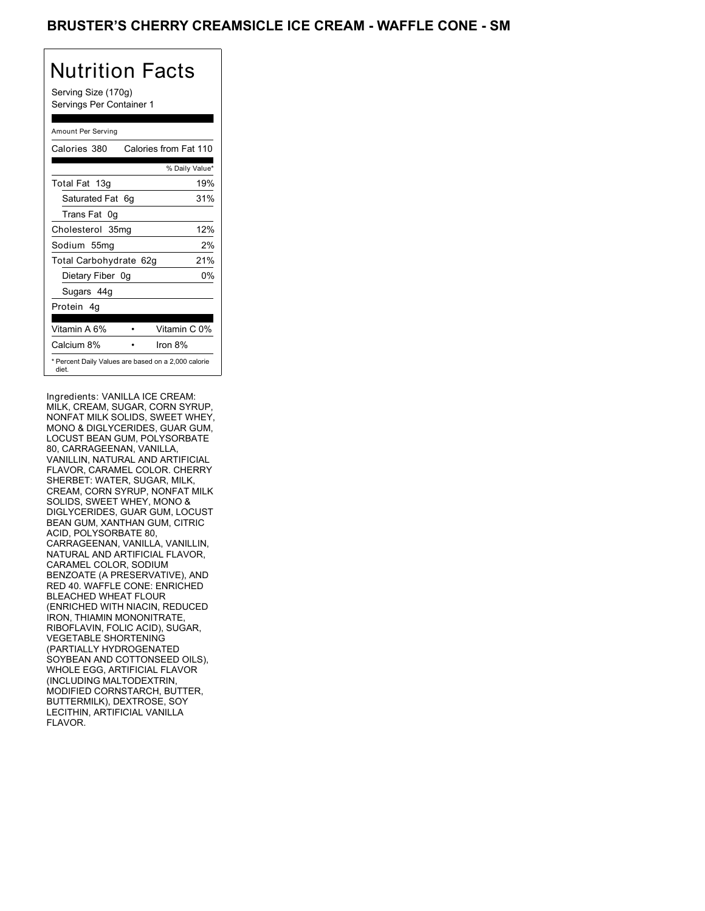## BRUSTER'S CHERRY CREAMSICLE ICE CREAM - WAFFLE CONE - SM

# Nutrition Facts

Serving Size (170g) Servings Per Container 1

#### Amount Per Serving

| Calories 380           | Calories from Fat 110                               |
|------------------------|-----------------------------------------------------|
|                        | % Daily Value*                                      |
| Total Fat 13g          | 19%                                                 |
| Saturated Fat 6q       | 31%                                                 |
| Trans Fat 0q           |                                                     |
| Cholesterol 35mg       | 12%                                                 |
| Sodium 55mg            | 2%                                                  |
| Total Carbohydrate 62g | 21%                                                 |
| Dietary Fiber 0g       | 0%                                                  |
| Sugars 44g             |                                                     |
| Protein 4q             |                                                     |
|                        |                                                     |
| Vitamin A 6%           | Vitamin C 0%                                        |
| Calcium 8%             | Iron 8%                                             |
| diet.                  | * Percent Daily Values are based on a 2,000 calorie |

Ingredients: VANILLA ICE CREAM: MILK, CREAM, SUGAR, CORN SYRUP, NONFAT MILK SOLIDS, SWEET WHEY, MONO & DIGLYCERIDES, GUAR GUM, LOCUST BEAN GUM, POLYSORBATE 80, CARRAGEENAN, VANILLA, VANILLIN, NATURAL AND ARTIFICIAL FLAVOR, CARAMEL COLOR. CHERRY SHERBET: WATER, SUGAR, MILK, CREAM, CORN SYRUP, NONFAT MILK SOLIDS, SWEET WHEY, MONO & DIGLYCERIDES, GUAR GUM, LOCUST BEAN GUM, XANTHAN GUM, CITRIC ACID, POLYSORBATE 80, CARRAGEENAN, VANILLA, VANILLIN, NATURAL AND ARTIFICIAL FLAVOR, CARAMEL COLOR, SODIUM BENZOATE (A PRESERVATIVE), AND RED 40. WAFFLE CONE: ENRICHED BLEACHED WHEAT FLOUR (ENRICHED WITH NIACIN, REDUCED IRON, THIAMIN MONONITRATE, RIBOFLAVIN, FOLIC ACID), SUGAR, VEGETABLE SHORTENING (PARTIALLY HYDROGENATED SOYBEAN AND COTTONSEED OILS), WHOLE EGG, ARTIFICIAL FLAVOR (INCLUDING MALTODEXTRIN, MODIFIED CORNSTARCH, BUTTER, BUTTERMILK), DEXTROSE, SOY LECITHIN, ARTIFICIAL VANILLA FLAVOR.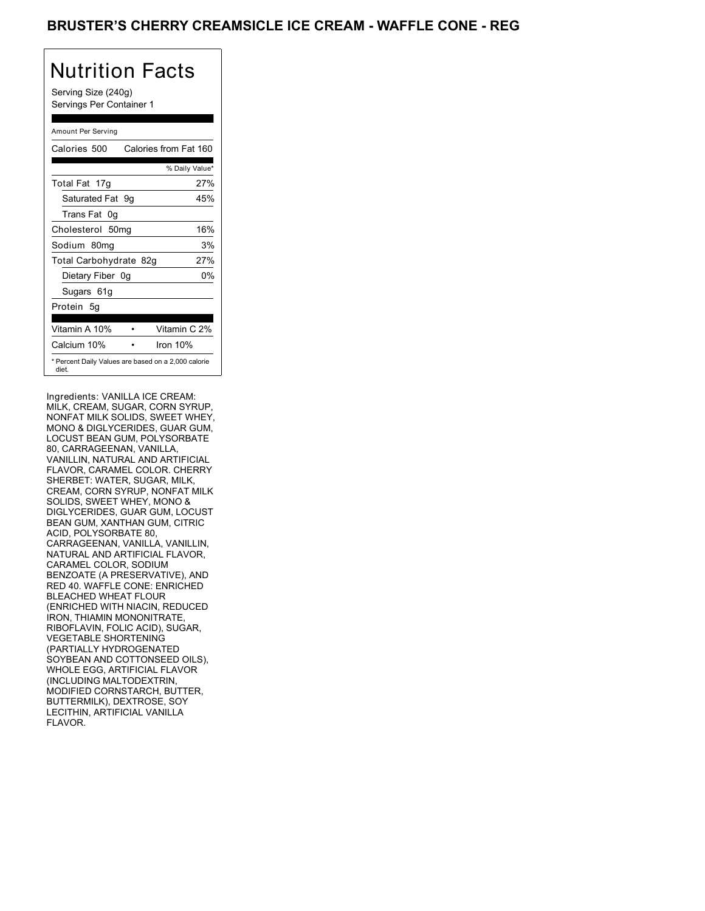## BRUSTER'S CHERRY CREAMSICLE ICE CREAM - WAFFLE CONE - REG

## Nutrition Facts

Serving Size (240g) Servings Per Container 1

#### Amount Per Serving

| Calories 500                                                 | Calories from Fat 160 |
|--------------------------------------------------------------|-----------------------|
|                                                              | % Daily Value*        |
| Total Fat 17g                                                | 27%                   |
| Saturated Fat 9g                                             | 45%                   |
| Trans Fat<br>0g                                              |                       |
| Cholesterol 50mg                                             | 16%                   |
| Sodium 80mg                                                  | 3%                    |
| Total Carbohydrate 82g                                       | 27%                   |
| Dietary Fiber 0g                                             | 0%                    |
| Sugars 61g                                                   |                       |
| Protein 5q                                                   |                       |
| Vitamin A 10%                                                | Vitamin C 2%          |
| Calcium 10%                                                  | Iron 10%              |
| * Percent Daily Values are based on a 2,000 calorie<br>diet. |                       |

Ingredients: VANILLA ICE CREAM: MILK, CREAM, SUGAR, CORN SYRUP, NONFAT MILK SOLIDS, SWEET WHEY, MONO & DIGLYCERIDES, GUAR GUM, LOCUST BEAN GUM, POLYSORBATE 80, CARRAGEENAN, VANILLA, VANILLIN, NATURAL AND ARTIFICIAL FLAVOR, CARAMEL COLOR. CHERRY SHERBET: WATER, SUGAR, MILK, CREAM, CORN SYRUP, NONFAT MILK SOLIDS, SWEET WHEY, MONO & DIGLYCERIDES, GUAR GUM, LOCUST BEAN GUM, XANTHAN GUM, CITRIC ACID, POLYSORBATE 80, CARRAGEENAN, VANILLA, VANILLIN, NATURAL AND ARTIFICIAL FLAVOR, CARAMEL COLOR, SODIUM BENZOATE (A PRESERVATIVE), AND RED 40. WAFFLE CONE: ENRICHED BLEACHED WHEAT FLOUR (ENRICHED WITH NIACIN, REDUCED IRON, THIAMIN MONONITRATE, RIBOFLAVIN, FOLIC ACID), SUGAR, VEGETABLE SHORTENING (PARTIALLY HYDROGENATED SOYBEAN AND COTTONSEED OILS), WHOLE EGG, ARTIFICIAL FLAVOR (INCLUDING MALTODEXTRIN, MODIFIED CORNSTARCH, BUTTER, BUTTERMILK), DEXTROSE, SOY LECITHIN, ARTIFICIAL VANILLA FLAVOR.